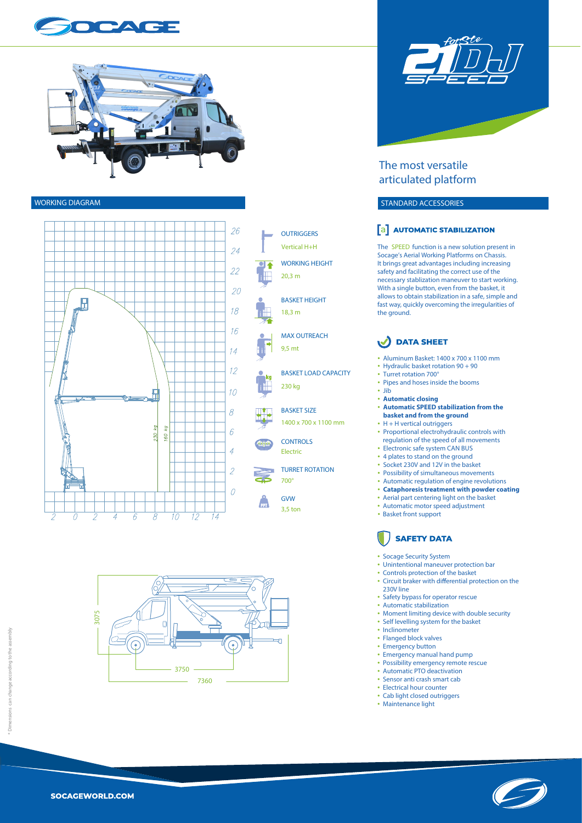







WORKING HEIGHT **OUTRIGGERS** Vertical H+H 20,3 m

BASKET HEIGHT 18,3 m

MAX OUTREACH 9,5 mt

BASKET LOAD CAPACITY 230 kg

BASKET SIZE 1400 x 700 x 1100 mm

**CONTROLS** Electric

TURRET ROTATION 700°

> GVW 3,5 ton

r<br>PP





### **The most versatile articulated platform**

#### **WORKING DIAGRAM STANDARD ACCESSORIES**

#### **a** AUTOMATIC STABILIZATION

The **SPEED** function is a new solution present in Socage's Aerial Working Platforms on Chassis. It brings great advantages including increasing safety and facilitating the correct use of the necessary stablization maneuver to start working. With a single button, even from the basket, it allows to obtain stabilization in a safe, simple and fast way, quickly overcoming the irregularities of the ground.

## DATA SHEET

- 
- 
- 
- 
- 
- Aluminum Basket: 1400 x 700 x 1100 mm<br>• Hydraulic basket rotation 90 + 90<br>• Turret rotation 700°<br>• Pipes and hoses inside the booms<br>• Jib<br> **Automatic closing<br>• Automatic SPEED stabilization from the basket and from the**
- 
- H + H vertical outriggers Proportional electrohydraulic controls with regulation of the speed of all movements
- 
- 
- 
- 
- Electronic safe system CAN BUS<br>• 4 plates to stand on the ground<br>• Socket 230V and 12V in the basket<br>• Possibility of simultaneous movements<br>• **Cataphoresis treatment with powder coating**<br>• **Cataphoresis treatment with p**
- 
- Automatic motor speed adjustment
- Basket front support

# **SAFETY DATA**

- 
- 
- Socage Security System<br>• Unintentional maneuver protection bar<br>• Controls protection of the basket<br>• Circuit braker with differential protection on the
- 
- 230V line<br>Safety bypass for operator rescue
- 
- Safety bypass for operator rescue<br>• Automatic stabilization<br>• Moment limiting device with double security<br>• Self levelling system for the basket<br>• Inclinemetr<br>• Flanged block valves<br>• Emergency button<br>• Emergency manual
- 
- 
- 
- 
- 
- 
- 
- 
- 
-